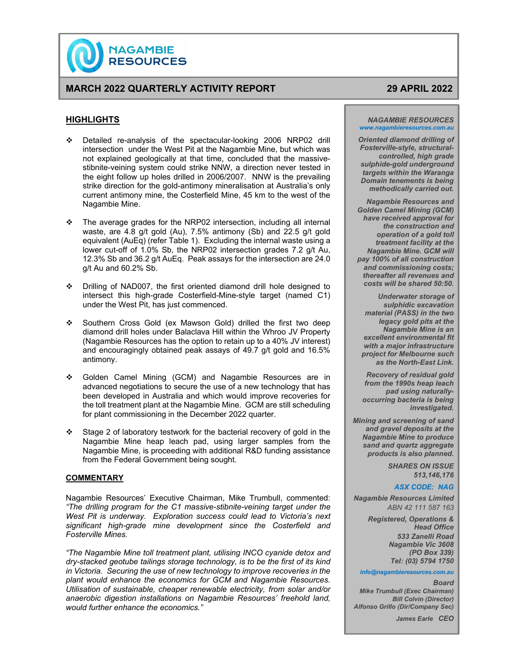

# **MARCH 2022 QUARTERLY ACTIVITY REPORT 29 APRIL 2022**

# **HIGHLIGHTS**

- Detailed re-analysis of the spectacular-looking 2006 NRP02 drill intersection under the West Pit at the Nagambie Mine, but which was not explained geologically at that time, concluded that the massivestibnite-veining system could strike NNW, a direction never tested in the eight follow up holes drilled in 2006/2007. NNW is the prevailing strike direction for the gold-antimony mineralisation at Australia's only current antimony mine, the Costerfield Mine, 45 km to the west of the Nagambie Mine.
- $\div$  The average grades for the NRP02 intersection, including all internal waste, are 4.8 g/t gold (Au), 7.5% antimony (Sb) and 22.5 g/t gold equivalent (AuEq) (refer Table 1). Excluding the internal waste using a lower cut-off of 1.0% Sb, the NRP02 intersection grades 7.2 g/t Au, 12.3% Sb and 36.2 g/t AuEq. Peak assays for the intersection are 24.0 g/t Au and 60.2% Sb.
- Drilling of NAD007, the first oriented diamond drill hole designed to intersect this high-grade Costerfield-Mine-style target (named C1) under the West Pit, has just commenced.
- Southern Cross Gold (ex Mawson Gold) drilled the first two deep diamond drill holes under Balaclava Hill within the Whroo JV Property (Nagambie Resources has the option to retain up to a 40% JV interest) and encouragingly obtained peak assays of 49.7 g/t gold and 16.5% antimony.
- Golden Camel Mining (GCM) and Nagambie Resources are in advanced negotiations to secure the use of a new technology that has been developed in Australia and which would improve recoveries for the toll treatment plant at the Nagambie Mine. GCM are still scheduling for plant commissioning in the December 2022 quarter.
- Stage 2 of laboratory testwork for the bacterial recovery of gold in the Nagambie Mine heap leach pad, using larger samples from the Nagambie Mine, is proceeding with additional R&D funding assistance from the Federal Government being sought.

# **COMMENTARY**

Nagambie Resources' Executive Chairman, Mike Trumbull, commented: *"The drilling program for the C1 massive-stibnite-veining target under the West Pit is underway. Exploration success could lead to Victoria's next significant high-grade mine development since the Costerfield and Fosterville Mines.* 

*"The Nagambie Mine toll treatment plant, utilising INCO cyanide detox and dry-stacked geotube tailings storage technology, is to be the first of its kind in Victoria. Securing the use of new technology to improve recoveries in the plant would enhance the economics for GCM and Nagambie Resources. Utilisation of sustainable, cheaper renewable electricity, from solar and/or anaerobic digestion installations on Nagambie Resources' freehold land, would further enhance the economics."* 

#### *NAGAMBIE RESOURCES www.nagambieresources.com.au*

*Oriented diamond drilling of Fosterville-style, structuralcontrolled, high grade sulphide-gold underground targets within the Waranga Domain tenements is being methodically carried out.* 

*Nagambie Resources and Golden Camel Mining (GCM) have received approval for the construction and operation of a gold toll treatment facility at the Nagambie Mine. GCM will pay 100% of all construction and commissioning costs; thereafter all revenues and costs will be shared 50:50.* 

*Underwater storage of sulphidic excavation material (PASS) in the two legacy gold pits at the Nagambie Mine is an excellent environmental fit with a major infrastructure project for Melbourne such as the North-East Link.* 

*Recovery of residual gold from the 1990s heap leach pad using naturallyoccurring bacteria is being investigated.* 

*Mining and screening of sand and gravel deposits at the Nagambie Mine to produce sand and quartz aggregate products is also planned.* 

> *SHARES ON ISSUE 513,146,176*

#### *ASX CODE: NAG*

 *Nagambie Resources Limited ABN 42 111 587 163* 

> *Registered, Operations & Head Office 533 Zanelli Road Nagambie Vic 3608 (PO Box 339) Tel: (03) 5794 1750*

#### *info@nagambieresources.com.au*

### *Board*

*Mike Trumbull (Exec Chairman) Bill Colvin (Director) Alfonso Grillo (Dir/Company Sec)* 

*James Earle CEO*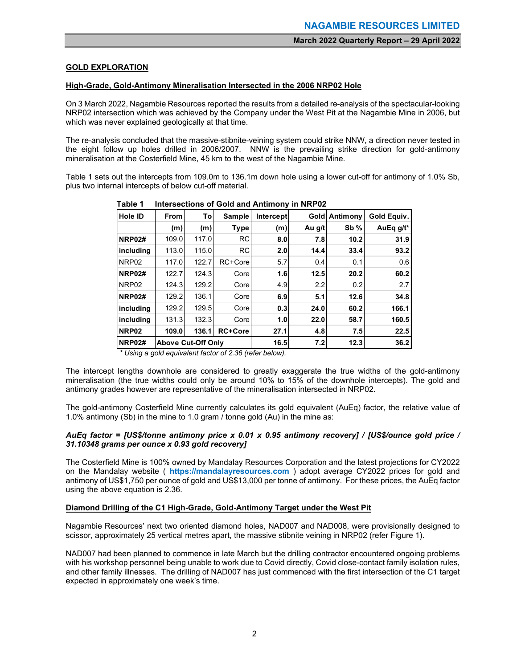# **GOLD EXPLORATION**

# **High-Grade, Gold-Antimony Mineralisation Intersected in the 2006 NRP02 Hole**

On 3 March 2022, Nagambie Resources reported the results from a detailed re-analysis of the spectacular-looking NRP02 intersection which was achieved by the Company under the West Pit at the Nagambie Mine in 2006, but which was never explained geologically at that time.

The re-analysis concluded that the massive-stibnite-veining system could strike NNW, a direction never tested in the eight follow up holes drilled in 2006/2007. NNW is the prevailing strike direction for gold-antimony mineralisation at the Costerfield Mine, 45 km to the west of the Nagambie Mine.

Table 1 sets out the intercepts from 109.0m to 136.1m down hole using a lower cut-off for antimony of 1.0% Sb, plus two internal intercepts of below cut-off material.

| <b>Hole ID</b>    | <b>From</b>               | Tol   | Sample         | Intercept | <b>Gold</b> | Antimony | Gold Equiv.  |
|-------------------|---------------------------|-------|----------------|-----------|-------------|----------|--------------|
|                   | (m)                       | (m)   | <b>Type</b>    | (m)       | Au g/t      | $Sb\%$   | AuEq $q/t^*$ |
| <b>NRP02#</b>     | 109.0                     | 117.0 | <b>RC</b>      | 8.0       | 7.8         | 10.2     | 31.9         |
| including         | 113.0                     | 115.0 | <b>RC</b>      | 2.0       | 14.4        | 33.4     | 93.2         |
| NRP <sub>02</sub> | 117.0                     | 122.7 | RC+Core        | 5.7       | 0.4         | 0.1      | 0.6          |
| <b>NRP02#</b>     | 122.7                     | 124.3 | Core           | 1.6       | 12.5        | 20.2     | 60.2         |
| NRP <sub>02</sub> | 124.3                     | 129.2 | Core           | 4.9       | 2.2         | 0.2      | 2.7          |
| <b>NRP02#</b>     | 129.2                     | 136.1 | Core           | 6.9       | 5.1         | 12.6     | 34.8         |
| includina         | 129.2                     | 129.5 | Core           | 0.3       | 24.0        | 60.2     | 166.1        |
| including         | 131.3                     | 132.3 | Core           | 1.0       | 22.0        | 58.7     | 160.5        |
| NRP <sub>02</sub> | 109.0                     | 136.1 | <b>RC+Core</b> | 27.1      | 4.8         | 7.5      | 22.5         |
| <b>NRP02#</b>     | <b>Above Cut-Off Only</b> |       |                | 16.5      | 7.2         | 12.3     | 36.2         |

 **Table 1 Intersections of Gold and Antimony in NRP02**

 *\* Using a gold equivalent factor of 2.36 (refer below).* 

The intercept lengths downhole are considered to greatly exaggerate the true widths of the gold-antimony mineralisation (the true widths could only be around 10% to 15% of the downhole intercepts). The gold and antimony grades however are representative of the mineralisation intersected in NRP02.

The gold-antimony Costerfield Mine currently calculates its gold equivalent (AuEq) factor, the relative value of 1.0% antimony (Sb) in the mine to 1.0 gram / tonne gold (Au) in the mine as:

# *AuEq factor = [US\$/tonne antimony price x 0.01 x 0.95 antimony recovery] / [US\$/ounce gold price / 31.10348 grams per ounce x 0.93 gold recovery]*

The Costerfield Mine is 100% owned by Mandalay Resources Corporation and the latest projections for CY2022 on the Mandalay website ( **https://mandalayresources.com** ) adopt average CY2022 prices for gold and antimony of US\$1,750 per ounce of gold and US\$13,000 per tonne of antimony. For these prices, the AuEq factor using the above equation is 2.36.

# **Diamond Drilling of the C1 High-Grade, Gold-Antimony Target under the West Pit**

Nagambie Resources' next two oriented diamond holes, NAD007 and NAD008, were provisionally designed to scissor, approximately 25 vertical metres apart, the massive stibnite veining in NRP02 (refer Figure 1).

NAD007 had been planned to commence in late March but the drilling contractor encountered ongoing problems with his workshop personnel being unable to work due to Covid directly, Covid close-contact family isolation rules, and other family illnesses. The drilling of NAD007 has just commenced with the first intersection of the C1 target expected in approximately one week's time.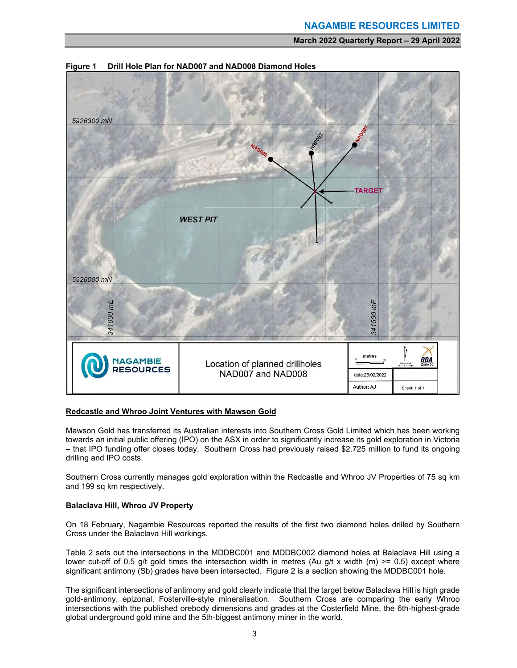

**Figure 1 Drill Hole Plan for NAD007 and NAD008 Diamond Holes** 

# **Redcastle and Whroo Joint Ventures with Mawson Gold**

Mawson Gold has transferred its Australian interests into Southern Cross Gold Limited which has been working towards an initial public offering (IPO) on the ASX in order to significantly increase its gold exploration in Victoria – that IPO funding offer closes today. Southern Cross had previously raised \$2.725 million to fund its ongoing drilling and IPO costs.

Southern Cross currently manages gold exploration within the Redcastle and Whroo JV Properties of 75 sq km and 199 sq km respectively.

# **Balaclava Hill, Whroo JV Property**

On 18 February, Nagambie Resources reported the results of the first two diamond holes drilled by Southern Cross under the Balaclava Hill workings.

Table 2 sets out the intersections in the MDDBC001 and MDDBC002 diamond holes at Balaclava Hill using a lower cut-off of 0.5 g/t gold times the intersection width in metres (Au g/t x width (m)  $>= 0.5$ ) except where significant antimony (Sb) grades have been intersected. Figure 2 is a section showing the MDDBC001 hole.

The significant intersections of antimony and gold clearly indicate that the target below Balaclava Hill is high grade gold-antimony, epizonal, Fosterville-style mineralisation. Southern Cross are comparing the early Whroo intersections with the published orebody dimensions and grades at the Costerfield Mine, the 6th-highest-grade global underground gold mine and the 5th-biggest antimony miner in the world.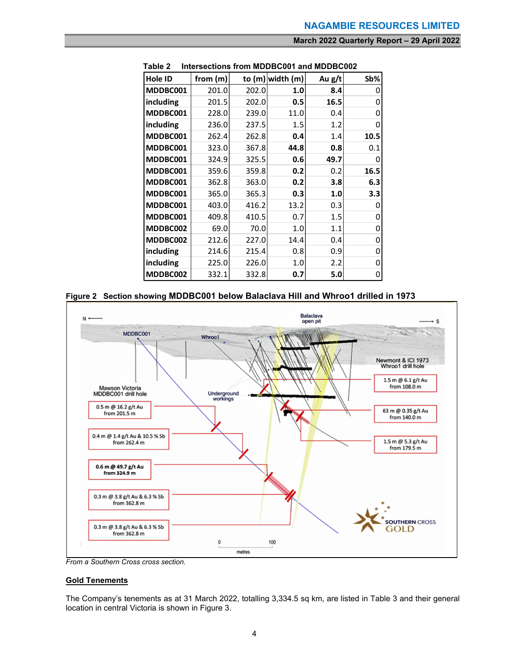| I UNIG A<br>וו טוטוסטאווו<br>VV I GIIU MIDDDOVUL<br>to (m) width (m) |          |       |      |        |      |  |  |
|----------------------------------------------------------------------|----------|-------|------|--------|------|--|--|
| Hole ID                                                              | from (m) |       |      | Au g/t | Sb%  |  |  |
| MDDBC001                                                             | 201.0    | 202.0 | 1.0  | 8.4    |      |  |  |
| including                                                            | 201.5    | 202.0 | 0.5  | 16.5   | ი    |  |  |
| MDDBC001                                                             | 228.0    | 239.0 | 11.0 | 0.4    | ი    |  |  |
| including                                                            | 236.0    | 237.5 | 1.5  | 1.2    | ი    |  |  |
| MDDBC001                                                             | 262.4    | 262.8 | 0.4  | 1.4    | 10.5 |  |  |
| MDDBC001                                                             | 323.0    | 367.8 | 44.8 | 0.8    | 0.1  |  |  |
| MDDBC001                                                             | 324.9    | 325.5 | 0.6  | 49.7   |      |  |  |
| MDDBC001                                                             | 359.6    | 359.8 | 0.2  | 0.2    | 16.5 |  |  |
| MDDBC001                                                             | 362.8    | 363.0 | 0.2  | 3.8    | 6.3  |  |  |
| MDDBC001                                                             | 365.0    | 365.3 | 0.3  | 1.0    | 3.3  |  |  |
| MDDBC001                                                             | 403.0    | 416.2 | 13.2 | 0.3    |      |  |  |
| MDDBC001                                                             | 409.8    | 410.5 | 0.7  | 1.5    | Ω    |  |  |
| MDDBC002                                                             | 69.0     | 70.0  | 1.0  | 1.1    | 0    |  |  |
| MDDBC002                                                             | 212.6    | 227.0 | 14.4 | 0.4    | 0    |  |  |
| including                                                            | 214.6    | 215.4 | 0.8  | 0.9    | 0    |  |  |
| including                                                            | 225.0    | 226.0 | 1.0  | 2.2    | 0    |  |  |
| MDDBC002                                                             | 332.1    | 332.8 | 0.7  | 5.0    | 0    |  |  |

 **Table 2 Intersections from MDDBC001 and MDDBC002** 





*From a Southern Cross cross section.* 

# **Gold Tenements**

The Company's tenements as at 31 March 2022, totalling 3,334.5 sq km, are listed in Table 3 and their general location in central Victoria is shown in Figure 3.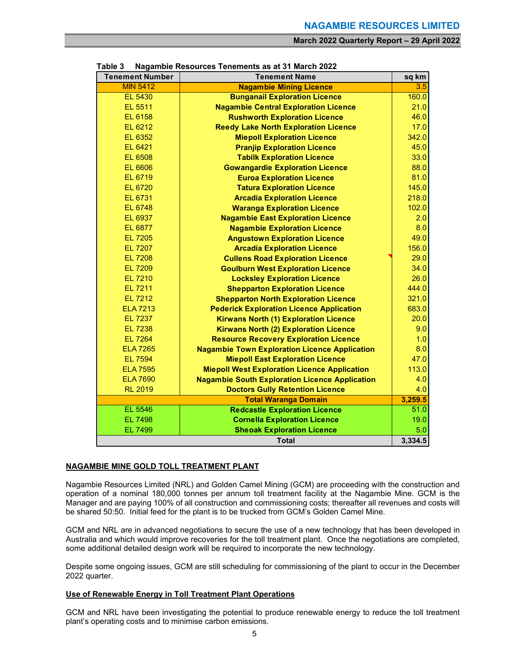| <b>Tenement Number</b> | <b>Tenement Name</b>                                  |                |  |  |  |  |
|------------------------|-------------------------------------------------------|----------------|--|--|--|--|
| <b>MIN 5412</b>        | <b>Nagambie Mining Licence</b>                        | 3.5            |  |  |  |  |
| EL 5430                | <b>Bunganail Exploration Licence</b>                  | 160.0          |  |  |  |  |
| EL 5511                | <b>Nagambie Central Exploration Licence</b>           | 21.0           |  |  |  |  |
| EL 6158                | <b>Rushworth Exploration Licence</b>                  | 46.0           |  |  |  |  |
| EL 6212                | <b>Reedy Lake North Exploration Licence</b>           | 17.0           |  |  |  |  |
| EL 6352                | <b>Miepoll Exploration Licence</b>                    | 342.0          |  |  |  |  |
| EL 6421                | <b>Pranjip Exploration Licence</b>                    | 45.0           |  |  |  |  |
| <b>EL 6508</b>         | <b>Tabilk Exploration Licence</b>                     | 33.0           |  |  |  |  |
| EL 6606                | <b>Gowangardie Exploration Licence</b>                | 88.0           |  |  |  |  |
| EL 6719                | <b>Euroa Exploration Licence</b>                      | 81.0           |  |  |  |  |
| <b>EL 6720</b>         | <b>Tatura Exploration Licence</b>                     | 145.0          |  |  |  |  |
| EL 6731                | <b>Arcadia Exploration Licence</b>                    | 218.0          |  |  |  |  |
| <b>EL 6748</b>         | <b>Waranga Exploration Licence</b>                    | 102.0          |  |  |  |  |
| EL 6937                | <b>Nagambie East Exploration Licence</b>              | 2.0            |  |  |  |  |
| <b>EL 6877</b>         | <b>Nagambie Exploration Licence</b>                   | 8.0            |  |  |  |  |
| <b>EL 7205</b>         | <b>Angustown Exploration Licence</b>                  | 49.0           |  |  |  |  |
| <b>EL 7207</b>         | <b>Arcadia Exploration Licence</b>                    | 156.0          |  |  |  |  |
| <b>EL 7208</b>         | <b>Cullens Road Exploration Licence</b>               | 29.0           |  |  |  |  |
| <b>EL 7209</b>         | <b>Goulburn West Exploration Licence</b>              | 34.0           |  |  |  |  |
| <b>EL 7210</b>         | <b>Locksley Exploration Licence</b>                   | 26.0           |  |  |  |  |
| <b>EL 7211</b>         | <b>Shepparton Exploration Licence</b>                 | 444.0          |  |  |  |  |
| <b>EL 7212</b>         | <b>Shepparton North Exploration Licence</b>           | 321.0          |  |  |  |  |
| <b>ELA 7213</b>        | <b>Pederick Exploration Licence Application</b>       | 683.0          |  |  |  |  |
| <b>EL 7237</b>         | <b>Kirwans North (1) Exploration Licence</b>          | 20.0           |  |  |  |  |
| <b>EL 7238</b>         | <b>Kirwans North (2) Exploration Licence</b>          | 9.0            |  |  |  |  |
| <b>EL 7264</b>         | <b>Resource Recovery Exploration Licence</b>          | 1.0            |  |  |  |  |
| <b>ELA 7265</b>        | <b>Nagambie Town Exploration Licence Application</b>  | 8.0            |  |  |  |  |
| <b>EL 7594</b>         | <b>Miepoll East Exploration Licence</b>               | 47.0           |  |  |  |  |
| <b>ELA 7595</b>        | <b>Miepoll West Exploration Licence Application</b>   | 113.0          |  |  |  |  |
| <b>ELA 7690</b>        | <b>Nagambie South Exploration Licence Application</b> | 4.0            |  |  |  |  |
| <b>RL 2019</b>         | <b>Doctors Gully Retention Licence</b>                | 4.0<br>3,259.5 |  |  |  |  |
|                        | <b>Total Waranga Domain</b>                           |                |  |  |  |  |
| EL 5546                | <b>Redcastle Exploration Licence</b>                  | 51.0           |  |  |  |  |
| <b>EL 7498</b>         | <b>Cornella Exploration Licence</b>                   | 19.0           |  |  |  |  |
| <b>EL 7499</b>         | <b>Sheoak Exploration Licence</b>                     | 5.0<br>3,334.5 |  |  |  |  |
| <b>Total</b>           |                                                       |                |  |  |  |  |

#### **Table 3 Nagambie Resources Tenements as at 31 March 2022**

### **NAGAMBIE MINE GOLD TOLL TREATMENT PLANT**

Nagambie Resources Limited (NRL) and Golden Camel Mining (GCM) are proceeding with the construction and operation of a nominal 180,000 tonnes per annum toll treatment facility at the Nagambie Mine. GCM is the Manager and are paying 100% of all construction and commissioning costs; thereafter all revenues and costs will be shared 50:50. Initial feed for the plant is to be trucked from GCM's Golden Camel Mine.

GCM and NRL are in advanced negotiations to secure the use of a new technology that has been developed in Australia and which would improve recoveries for the toll treatment plant. Once the negotiations are completed, some additional detailed design work will be required to incorporate the new technology.

Despite some ongoing issues, GCM are still scheduling for commissioning of the plant to occur in the December 2022 quarter.

# **Use of Renewable Energy in Toll Treatment Plant Operations**

GCM and NRL have been investigating the potential to produce renewable energy to reduce the toll treatment plant's operating costs and to minimise carbon emissions.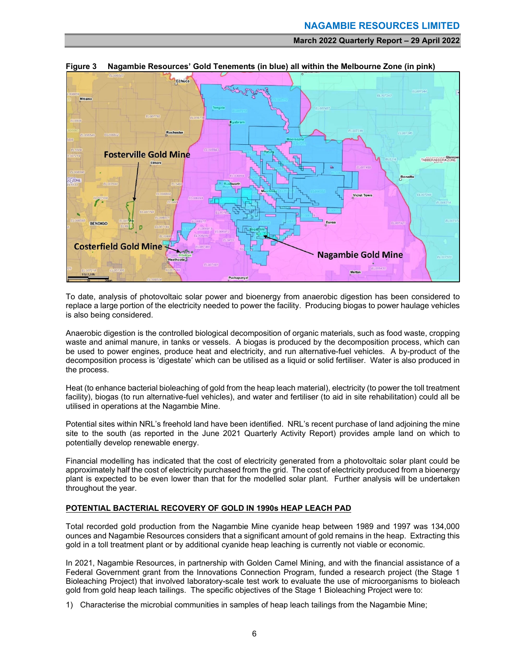

**Figure 3 Nagambie Resources' Gold Tenements (in blue) all within the Melbourne Zone (in pink)** 

To date, analysis of photovoltaic solar power and bioenergy from anaerobic digestion has been considered to replace a large portion of the electricity needed to power the facility. Producing biogas to power haulage vehicles is also being considered.

Anaerobic digestion is the controlled biological decomposition of organic materials, such as food waste, cropping waste and animal manure, in tanks or vessels. A biogas is produced by the decomposition process, which can be used to power engines, produce heat and electricity, and run alternative-fuel vehicles. A by-product of the decomposition process is 'digestate' which can be utilised as a liquid or solid fertiliser. Water is also produced in the process.

Heat (to enhance bacterial bioleaching of gold from the heap leach material), electricity (to power the toll treatment facility), biogas (to run alternative-fuel vehicles), and water and fertiliser (to aid in site rehabilitation) could all be utilised in operations at the Nagambie Mine.

Potential sites within NRL's freehold land have been identified. NRL's recent purchase of land adjoining the mine site to the south (as reported in the June 2021 Quarterly Activity Report) provides ample land on which to potentially develop renewable energy.

Financial modelling has indicated that the cost of electricity generated from a photovoltaic solar plant could be approximately half the cost of electricity purchased from the grid. The cost of electricity produced from a bioenergy plant is expected to be even lower than that for the modelled solar plant. Further analysis will be undertaken throughout the year.

# **POTENTIAL BACTERIAL RECOVERY OF GOLD IN 1990s HEAP LEACH PAD**

Total recorded gold production from the Nagambie Mine cyanide heap between 1989 and 1997 was 134,000 ounces and Nagambie Resources considers that a significant amount of gold remains in the heap. Extracting this gold in a toll treatment plant or by additional cyanide heap leaching is currently not viable or economic.

In 2021, Nagambie Resources, in partnership with Golden Camel Mining, and with the financial assistance of a Federal Government grant from the Innovations Connection Program, funded a research project (the Stage 1 Bioleaching Project) that involved laboratory-scale test work to evaluate the use of microorganisms to bioleach gold from gold heap leach tailings. The specific objectives of the Stage 1 Bioleaching Project were to:

1) Characterise the microbial communities in samples of heap leach tailings from the Nagambie Mine;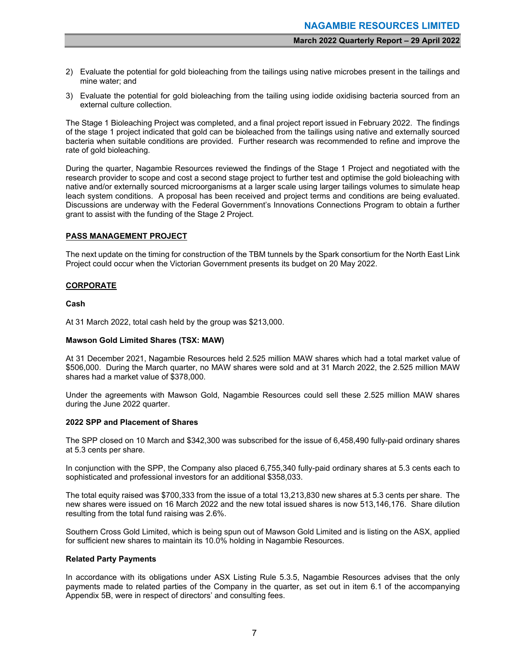- 2) Evaluate the potential for gold bioleaching from the tailings using native microbes present in the tailings and mine water; and
- 3) Evaluate the potential for gold bioleaching from the tailing using iodide oxidising bacteria sourced from an external culture collection.

The Stage 1 Bioleaching Project was completed, and a final project report issued in February 2022. The findings of the stage 1 project indicated that gold can be bioleached from the tailings using native and externally sourced bacteria when suitable conditions are provided. Further research was recommended to refine and improve the rate of gold bioleaching.

During the quarter, Nagambie Resources reviewed the findings of the Stage 1 Project and negotiated with the research provider to scope and cost a second stage project to further test and optimise the gold bioleaching with native and/or externally sourced microorganisms at a larger scale using larger tailings volumes to simulate heap leach system conditions. A proposal has been received and project terms and conditions are being evaluated. Discussions are underway with the Federal Government's Innovations Connections Program to obtain a further grant to assist with the funding of the Stage 2 Project.

# **PASS MANAGEMENT PROJECT**

The next update on the timing for construction of the TBM tunnels by the Spark consortium for the North East Link Project could occur when the Victorian Government presents its budget on 20 May 2022.

# **CORPORATE**

### **Cash**

At 31 March 2022, total cash held by the group was \$213,000.

### **Mawson Gold Limited Shares (TSX: MAW)**

At 31 December 2021, Nagambie Resources held 2.525 million MAW shares which had a total market value of \$506,000. During the March quarter, no MAW shares were sold and at 31 March 2022, the 2.525 million MAW shares had a market value of \$378,000.

Under the agreements with Mawson Gold, Nagambie Resources could sell these 2.525 million MAW shares during the June 2022 quarter.

# **2022 SPP and Placement of Shares**

The SPP closed on 10 March and \$342,300 was subscribed for the issue of 6,458,490 fully-paid ordinary shares at 5.3 cents per share.

In conjunction with the SPP, the Company also placed 6,755,340 fully-paid ordinary shares at 5.3 cents each to sophisticated and professional investors for an additional \$358,033.

The total equity raised was \$700,333 from the issue of a total 13,213,830 new shares at 5.3 cents per share. The new shares were issued on 16 March 2022 and the new total issued shares is now 513,146,176. Share dilution resulting from the total fund raising was 2.6%.

Southern Cross Gold Limited, which is being spun out of Mawson Gold Limited and is listing on the ASX, applied for sufficient new shares to maintain its 10.0% holding in Nagambie Resources.

### **Related Party Payments**

In accordance with its obligations under ASX Listing Rule 5.3.5, Nagambie Resources advises that the only payments made to related parties of the Company in the quarter, as set out in item 6.1 of the accompanying Appendix 5B, were in respect of directors' and consulting fees.